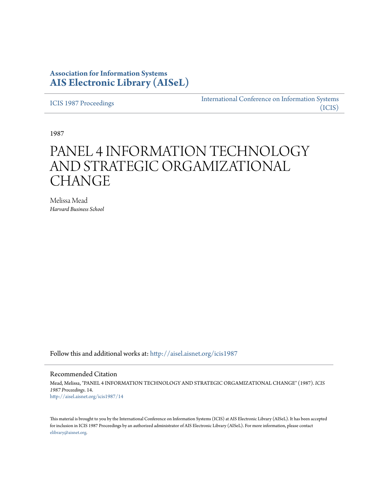# **Association for Information Systems [AIS Electronic Library \(AISeL\)](http://aisel.aisnet.org?utm_source=aisel.aisnet.org%2Ficis1987%2F14&utm_medium=PDF&utm_campaign=PDFCoverPages)**

[ICIS 1987 Proceedings](http://aisel.aisnet.org/icis1987?utm_source=aisel.aisnet.org%2Ficis1987%2F14&utm_medium=PDF&utm_campaign=PDFCoverPages)

[International Conference on Information Systems](http://aisel.aisnet.org/icis?utm_source=aisel.aisnet.org%2Ficis1987%2F14&utm_medium=PDF&utm_campaign=PDFCoverPages) [\(ICIS\)](http://aisel.aisnet.org/icis?utm_source=aisel.aisnet.org%2Ficis1987%2F14&utm_medium=PDF&utm_campaign=PDFCoverPages)

1987

# PANEL 4 INFORMATION TECHNOLOGY AND STRATEGIC ORGAMIZATIONAL **CHANGE**

Melissa Mead *Harvard Business School*

Follow this and additional works at: [http://aisel.aisnet.org/icis1987](http://aisel.aisnet.org/icis1987?utm_source=aisel.aisnet.org%2Ficis1987%2F14&utm_medium=PDF&utm_campaign=PDFCoverPages)

## Recommended Citation

Mead, Melissa, "PANEL 4 INFORMATION TECHNOLOGY AND STRATEGIC ORGAMIZATIONAL CHANGE" (1987). *ICIS 1987 Proceedings*. 14. [http://aisel.aisnet.org/icis1987/14](http://aisel.aisnet.org/icis1987/14?utm_source=aisel.aisnet.org%2Ficis1987%2F14&utm_medium=PDF&utm_campaign=PDFCoverPages)

This material is brought to you by the International Conference on Information Systems (ICIS) at AIS Electronic Library (AISeL). It has been accepted for inclusion in ICIS 1987 Proceedings by an authorized administrator of AIS Electronic Library (AISeL). For more information, please contact [elibrary@aisnet.org.](mailto:elibrary@aisnet.org%3E)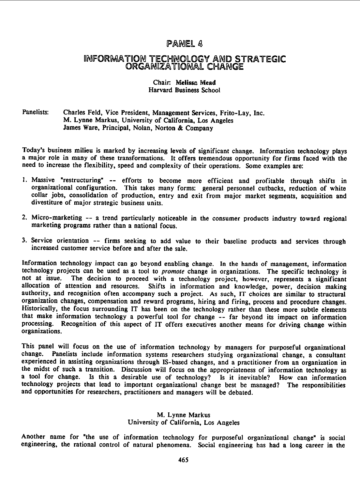## PANEL 4

## INFORMATION TECHNOLOGY AND STRATEGIC ORGAMIZATIONAL CHANGE

### Chair. Melissa Mead Harvard Business School

## Panelists: Charles Feld, Vice President, Management Services, Frito-Lay, Inc. M. Lynne Markus, University of California, Los Angeles James Ware, Principal, Nolan, Norton & Company

Today's business milieu is marked by increasing levels of significant change. Information technology plays <sup>a</sup> major role in many of these transformations. It offers tremendous opportunity for firms faced with the need to increase the flexibility, speed and complexity of their operations. Some examples are:

- 1. Massive "restructuring" -- efforts to become more efficient and profitable through shifts in organizational configuration. This takes many forms: general personnel cutbacks, reduction of white collar jobs, consolidation of production, entry and exit from major market segments, acquisition and divestiture of major strategic business units.
- 2. Micro-marketing -- <sup>a</sup> trend particularly noticeable in the consumer products industry toward regional marketing programs rather than <sup>a</sup> national focus.
- 3. Service orientation -- firms seeking to add value to their baseline products and services through increased customer service before and after the sale.

Information technology impact can go beyond enabling change. In the hands of management, information technology projects can be used as a tool to *promote* change in organizations. The specific technology is not at issue. The decision to proceed with a technology project, however, represents a significant The decision to proceed with a technology project, however, represents a significant allocation of attention and resources. Shifts in information and knowledge, power, decision making authority, and recognition often accompany such a project. As such, IT choices are similar to structural organization changes, compensation and reward programs, hiring and firing, process and procedure changes. Historically, the focus surrounding IT has been on the technology rather than these more subtle elements that make information technology <sup>a</sup> powerful tool for change -- far beyond its impact on information processing. Recognition of this aspect of IT offers executives another means for driving change within organizations.

This panel will focus on the use of information technology by managers for purposeful organizational<br>change. Panelists include information systems researchers studying organizational change a consultant Panelists include information systems researchers studying organizational change, a consultant experienced in assisting organizations through IS-based changes, and a practitioner from an organization in the midst of such a transition. Discussion will focus on the appropriateness of information technology as a tool for change. Is this a desirable use of technology? Is it inevitable? How can information technology projects that lead to important organizational change best be managed? The responsibilities and opportunities for researchers, practitioners and managers will be debated.

## M. Lynne Markus University of California, Los Angeles

Another name for "the use of information technology for purposeful organizational change" is social engineering, the rational control of natural phenomena. Social engineering has had <sup>a</sup> long career in the